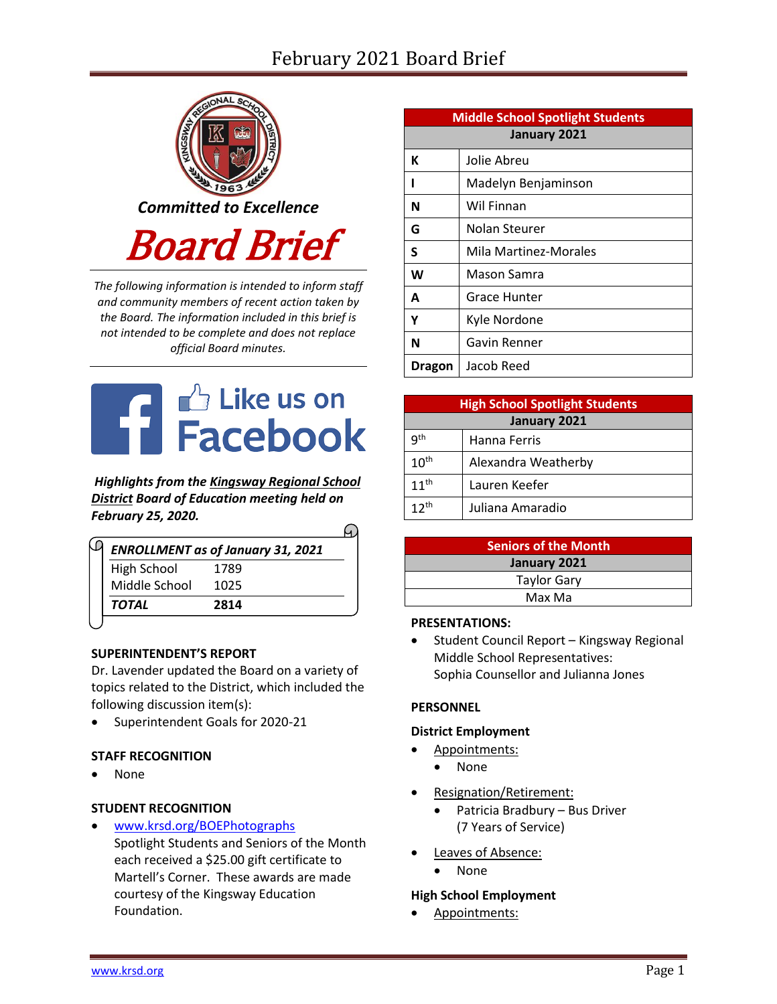# February 2021 Board Brief



*The following information is intended to inform staff and community members of recent action taken by the Board. The information included in this brief is not intended to be complete and does not replace official Board minutes.*



*Highlights from the [Kingsway Regional School](https://www.facebook.com/KingswayDragons)  [District](https://www.facebook.com/KingswayDragons) Board of Education meeting held on February 25, 2020.*  $\Omega$ 

|                    | <b>ENROLLMENT</b> as of January 31, 2021 |
|--------------------|------------------------------------------|
| <b>High School</b> | 1789                                     |
| Middle School      | 1025                                     |
| <b>TOTAL</b>       | 2814                                     |

# **SUPERINTENDENT'S REPORT**

Dr. Lavender updated the Board on a variety of topics related to the District, which included the following discussion item(s):

Superintendent Goals for 2020-21

# **STAFF RECOGNITION**

• None

# **STUDENT RECOGNITION**

 [www.krsd.org/BOEPhotographs](https://www.krsd.org/site/default.aspx?PageType=3&ModuleInstanceID=4530&ViewID=94B66785-F3F0-41A8-8414-1E55691D3E9E&RenderLoc=0&FlexDataID=7284&PageID=1303) Spotlight Students and Seniors of the Month each received a \$25.00 gift certificate to Martell's Corner. These awards are made courtesy of the Kingsway Education Foundation.

| <b>Middle School Spotlight Students</b> |                       |  |  |
|-----------------------------------------|-----------------------|--|--|
| January 2021                            |                       |  |  |
| К                                       | Jolie Abreu           |  |  |
|                                         | Madelyn Benjaminson   |  |  |
| N                                       | Wil Finnan            |  |  |
| G                                       | Nolan Steurer         |  |  |
| S                                       | Mila Martinez-Morales |  |  |
| W                                       | Mason Samra           |  |  |
| A                                       | Grace Hunter          |  |  |
| Υ                                       | Kyle Nordone          |  |  |
| N                                       | Gavin Renner          |  |  |
| Dragon                                  | Jacob Reed            |  |  |

| <b>High School Spotlight Students</b> |                     |  |  |
|---------------------------------------|---------------------|--|--|
| January 2021                          |                     |  |  |
| q <sup>th</sup>                       | Hanna Ferris        |  |  |
| 10 <sup>th</sup>                      | Alexandra Weatherby |  |  |
| $11^{th}$                             | Lauren Keefer       |  |  |
| $12^{th}$                             | Juliana Amaradio    |  |  |

| <b>Seniors of the Month</b> |  |
|-----------------------------|--|
| January 2021                |  |
| <b>Taylor Gary</b>          |  |
| Max Ma                      |  |

#### **PRESENTATIONS:**

• Student Council Report - Kingsway Regional Middle School Representatives: Sophia Counsellor and Julianna Jones

#### **PERSONNEL**

#### **District Employment**

- Appointments:
- None
- Resignation/Retirement:
	- Patricia Bradbury Bus Driver (7 Years of Service)
- Leaves of Absence:
	- None

#### **High School Employment**

Appointments: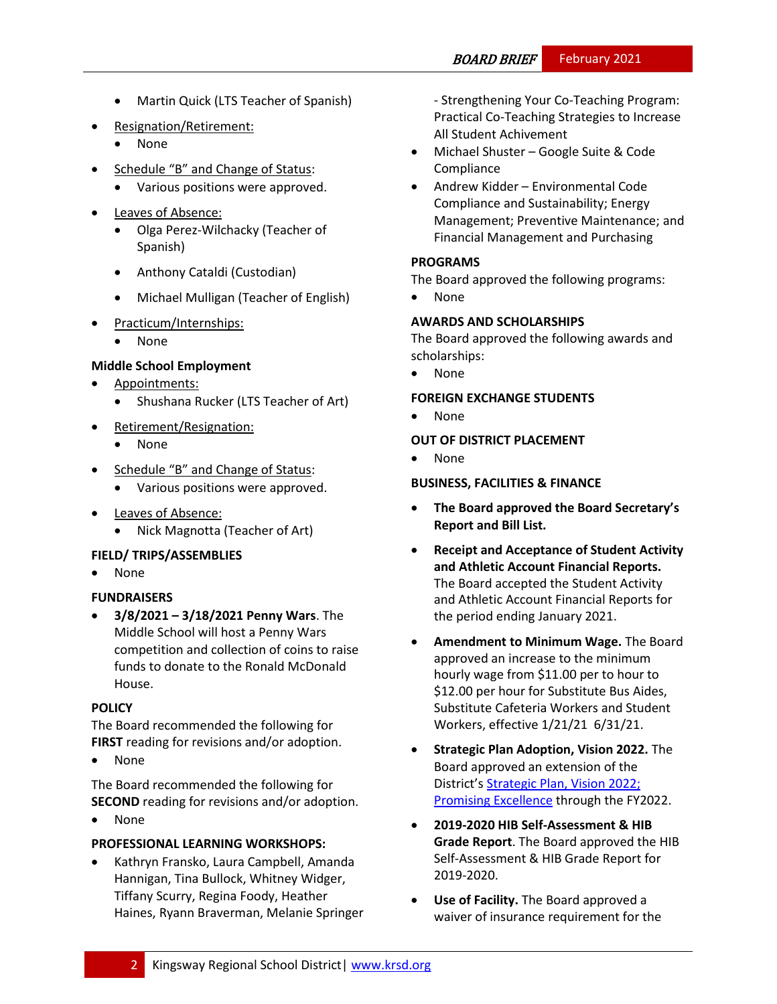- Martin Quick (LTS Teacher of Spanish)
- Resignation/Retirement:
	- None
- Schedule "B" and Change of Status:
	- Various positions were approved.
- Leaves of Absence:
	- Olga Perez-Wilchacky (Teacher of Spanish)
	- Anthony Cataldi (Custodian)
	- Michael Mulligan (Teacher of English)
- Practicum/Internships:
	- None

# **Middle School Employment**

- Appointments:
	- Shushana Rucker (LTS Teacher of Art)
- Retirement/Resignation:
	- None
- Schedule "B" and Change of Status:
	- Various positions were approved.
- Leaves of Absence:
	- Nick Magnotta (Teacher of Art)

# **FIELD/ TRIPS/ASSEMBLIES**

None

# **FUNDRAISERS**

 **3/8/2021 – 3/18/2021 Penny Wars**. The Middle School will host a Penny Wars competition and collection of coins to raise funds to donate to the Ronald McDonald House.

# **[POLICY](http://www.straussesmay.com/seportal/Public/DistrictPolicyTOC.aspx?id=f0cc945ef3894b8d9ad5f87d948ca425&PolicyID=)**

The Board recommended the following for **FIRST** reading for revisions and/or adoption.

None

The Board recommended the following for **SECOND** reading for revisions and/or adoption.

• None

# **PROFESSIONAL LEARNING WORKSHOPS:**

 Kathryn Fransko, Laura Campbell, Amanda Hannigan, Tina Bullock, Whitney Widger, Tiffany Scurry, Regina Foody, Heather Haines, Ryann Braverman, Melanie Springer - Strengthening Your Co-Teaching Program: Practical Co-Teaching Strategies to Increase All Student Achivement

- Michael Shuster Google Suite & Code Compliance
- Andrew Kidder Environmental Code Compliance and Sustainability; Energy Management; Preventive Maintenance; and Financial Management and Purchasing

# **PROGRAMS**

The Board approved the following programs:

None

# **AWARDS AND SCHOLARSHIPS**

The Board approved the following awards and scholarships:

None

# **FOREIGN EXCHANGE STUDENTS**

None

# **OUT OF DISTRICT PLACEMENT**

None

# **BUSINESS, FACILITIES & FINANCE**

- **The Board approved the Board Secretary's Report and Bill List.**
- **Receipt and Acceptance of Student Activity and Athletic Account Financial Reports.**  The Board accepted the Student Activity and Athletic Account Financial Reports for the period ending January 2021.
- **Amendment to Minimum Wage.** The Board approved an increase to the minimum hourly wage from \$11.00 per to hour to \$12.00 per hour for Substitute Bus Aides, Substitute Cafeteria Workers and Student Workers, effective 1/21/21 6/31/21.
- **Strategic Plan Adoption, Vision 2022.** The Board approved an extension of the District's [Strategic Plan, Vision 2022;](https://www.krsd.org/domain/51)  [Promising Excellence](https://www.krsd.org/domain/51) through the FY2022.
- **2019-2020 HIB Self-Assessment & HIB Grade Report**. The Board approved the HIB Self-Assessment & HIB Grade Report for 2019-2020.
- **Use of Facility.** The Board approved a waiver of insurance requirement for the